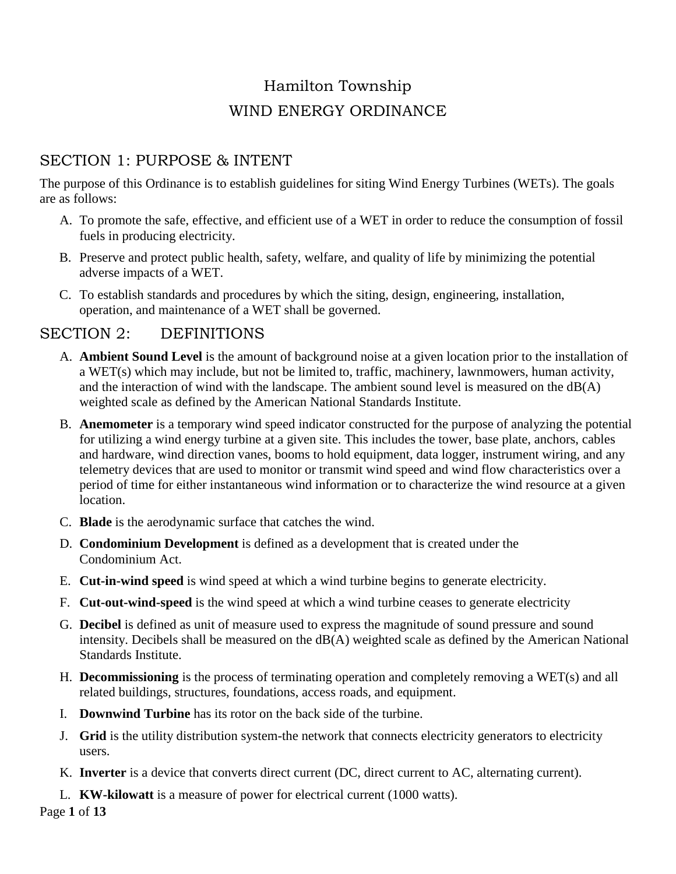# Hamilton Township WIND ENERGY ORDINANCE

# SECTION 1: PURPOSE & INTENT

The purpose of this Ordinance is to establish guidelines for siting Wind Energy Turbines (WETs). The goals are as follows:

- A. To promote the safe, effective, and efficient use of a WET in order to reduce the consumption of fossil fuels in producing electricity.
- B. Preserve and protect public health, safety, welfare, and quality of life by minimizing the potential adverse impacts of a WET.
- C. To establish standards and procedures by which the siting, design, engineering, installation, operation, and maintenance of a WET shall be governed.

## SECTION 2: DEFINITIONS

- A. **Ambient Sound Level** is the amount of background noise at a given location prior to the installation of a WET(s) which may include, but not be limited to, traffic, machinery, lawnmowers, human activity, and the interaction of wind with the landscape. The ambient sound level is measured on the dB(A) weighted scale as defined by the American National Standards Institute.
- B. **Anemometer** is a temporary wind speed indicator constructed for the purpose of analyzing the potential for utilizing a wind energy turbine at a given site. This includes the tower, base plate, anchors, cables and hardware, wind direction vanes, booms to hold equipment, data logger, instrument wiring, and any telemetry devices that are used to monitor or transmit wind speed and wind flow characteristics over a period of time for either instantaneous wind information or to characterize the wind resource at a given location.
- C. **Blade** is the aerodynamic surface that catches the wind.
- D. **Condominium Development** is defined as a development that is created under the Condominium Act.
- E. **Cut-in-wind speed** is wind speed at which a wind turbine begins to generate electricity.
- F. **Cut-out-wind-speed** is the wind speed at which a wind turbine ceases to generate electricity
- G. **Decibel** is defined as unit of measure used to express the magnitude of sound pressure and sound intensity. Decibels shall be measured on the dB(A) weighted scale as defined by the American National Standards Institute.
- H. **Decommissioning** is the process of terminating operation and completely removing a WET(s) and all related buildings, structures, foundations, access roads, and equipment.
- I. **Downwind Turbine** has its rotor on the back side of the turbine.
- J. **Grid** is the utility distribution system-the network that connects electricity generators to electricity users.
- K. **Inverter** is a device that converts direct current (DC, direct current to AC, alternating current).
- L. **KW-kilowatt** is a measure of power for electrical current (1000 watts).

Page **1** of **13**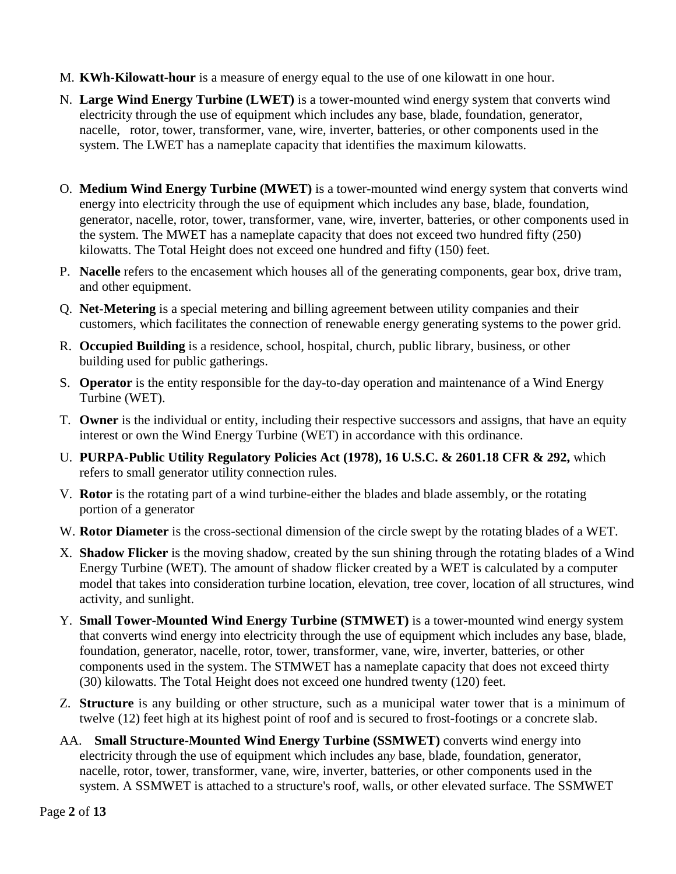#### M. **KWh-Kilowatt-hour** is a measure of energy equal to the use of one kilowatt in one hour.

- N. **Large Wind Energy Turbine (LWET)** is a tower-mounted wind energy system that converts wind electricity through the use of equipment which includes any base, blade, foundation, generator, nacelle, rotor, tower, transformer, vane, wire, inverter, batteries, or other components used in the system. The LWET has a nameplate capacity that identifies the maximum kilowatts.
- O. **Medium Wind Energy Turbine (MWET)** is a tower-mounted wind energy system that converts wind energy into electricity through the use of equipment which includes any base, blade, foundation, generator, nacelle, rotor, tower, transformer, vane, wire, inverter, batteries, or other components used in the system. The MWET has a nameplate capacity that does not exceed two hundred fifty (250) kilowatts. The Total Height does not exceed one hundred and fifty (150) feet.
- P. **Nacelle** refers to the encasement which houses all of the generating components, gear box, drive tram, and other equipment.
- Q. **Net-Metering** is a special metering and billing agreement between utility companies and their customers, which facilitates the connection of renewable energy generating systems to the power grid.
- R. **Occupied Building** is a residence, school, hospital, church, public library, business, or other building used for public gatherings.
- S. **Operator** is the entity responsible for the day-to-day operation and maintenance of a Wind Energy Turbine (WET).
- T. **Owner** is the individual or entity, including their respective successors and assigns, that have an equity interest or own the Wind Energy Turbine (WET) in accordance with this ordinance.
- U. **PURPA-Public Utility Regulatory Policies Act (1978), 16 U.S.C. & 2601.18 CFR & 292,** which refers to small generator utility connection rules.
- V. **Rotor** is the rotating part of a wind turbine-either the blades and blade assembly, or the rotating portion of a generator
- W. **Rotor Diameter** is the cross-sectional dimension of the circle swept by the rotating blades of a WET.
- X. **Shadow Flicker** is the moving shadow, created by the sun shining through the rotating blades of a Wind Energy Turbine (WET). The amount of shadow flicker created by a WET is calculated by a computer model that takes into consideration turbine location, elevation, tree cover, location of all structures, wind activity, and sunlight.
- Y. **Small Tower-Mounted Wind Energy Turbine (STMWET)** is a tower-mounted wind energy system that converts wind energy into electricity through the use of equipment which includes any base, blade, foundation, generator, nacelle, rotor, tower, transformer, vane, wire, inverter, batteries, or other components used in the system. The STMWET has a nameplate capacity that does not exceed thirty (30) kilowatts. The Total Height does not exceed one hundred twenty (120) feet.
- Z. **Structure** is any building or other structure, such as a municipal water tower that is a minimum of twelve (12) feet high at its highest point of roof and is secured to frost-footings or a concrete slab.
- AA. **Small Structure**-**Mounted Wind Energy Turbine (SSMWET)** converts wind energy into electricity through the use of equipment which includes an*y* base, blade, foundation, generator, nacelle, rotor, tower, transformer, vane, wire, inverter, batteries, or other components used in the system. A SSMWET is attached to a structure's roof, walls, or other elevated surface. The SSMWET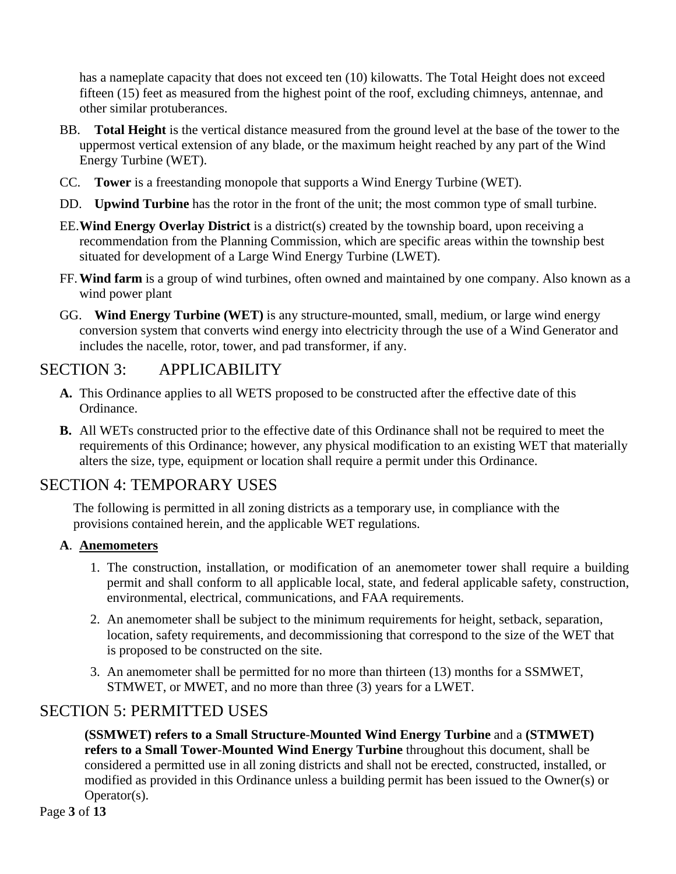has a nameplate capacity that does not exceed ten (10) kilowatts. The Total Height does not exceed fifteen (15) feet as measured from the highest point of the roof, excluding chimneys, antennae, and other similar protuberances.

- BB. **Total Height** is the vertical distance measured from the ground level at the base of the tower to the uppermost vertical extension of any blade, or the maximum height reached by any part of the Wind Energy Turbine (WET).
- CC. **Tower** is a freestanding monopole that supports a Wind Energy Turbine (WET).
- DD. **Upwind Turbine** has the rotor in the front of the unit; the most common type of small turbine.
- EE.**Wind Energy Overlay District** is a district(s) created by the township board, upon receiving a recommendation from the Planning Commission, which are specific areas within the township best situated for development of a Large Wind Energy Turbine (LWET).
- FF.**Wind farm** is a group of wind turbines, often owned and maintained by one company. Also known as a wind power plant
- GG. **Wind Energy Turbine (WET)** is any structure-mounted, small, medium, or large wind energy conversion system that converts wind energy into electricity through the use of a Wind Generator and includes the nacelle, rotor, tower, and pad transformer, if any.

# SECTION 3: APPLICABILITY

- **A.** This Ordinance applies to all WETS proposed to be constructed after the effective date of this Ordinance.
- **B.** All WETs constructed prior to the effective date of this Ordinance shall not be required to meet the requirements of this Ordinance; however, any physical modification to an existing WET that materially alters the size, type, equipment or location shall require a permit under this Ordinance.

# SECTION 4: TEMPORARY USES

The following is permitted in all zoning districts as a temporary use, in compliance with the provisions contained herein, and the applicable WET regulations.

## **A**. **Anemometers**

- 1. The construction, installation, or modification of an anemometer tower shall require a building permit and shall conform to all applicable local, state, and federal applicable safety, construction, environmental, electrical, communications, and FAA requirements.
- 2. An anemometer shall be subject to the minimum requirements for height, setback, separation, location, safety requirements, and decommissioning that correspond to the size of the WET that is proposed to be constructed on the site.
- 3. An anemometer shall be permitted for no more than thirteen (13) months for a SSMWET, STMWET, or MWET, and no more than three (3) years for a LWET.

# SECTION 5: PERMITTED USES

**(SSMWET) refers to a Small Structure**-**Mounted Wind Energy Turbine** and a **(STMWET) refers to a Small Tower**-**Mounted Wind Energy Turbine** throughout this document, shall be considered a permitted use in all zoning districts and shall not be erected, constructed, installed, or modified as provided in this Ordinance unless a building permit has been issued to the Owner(s) or Operator(s).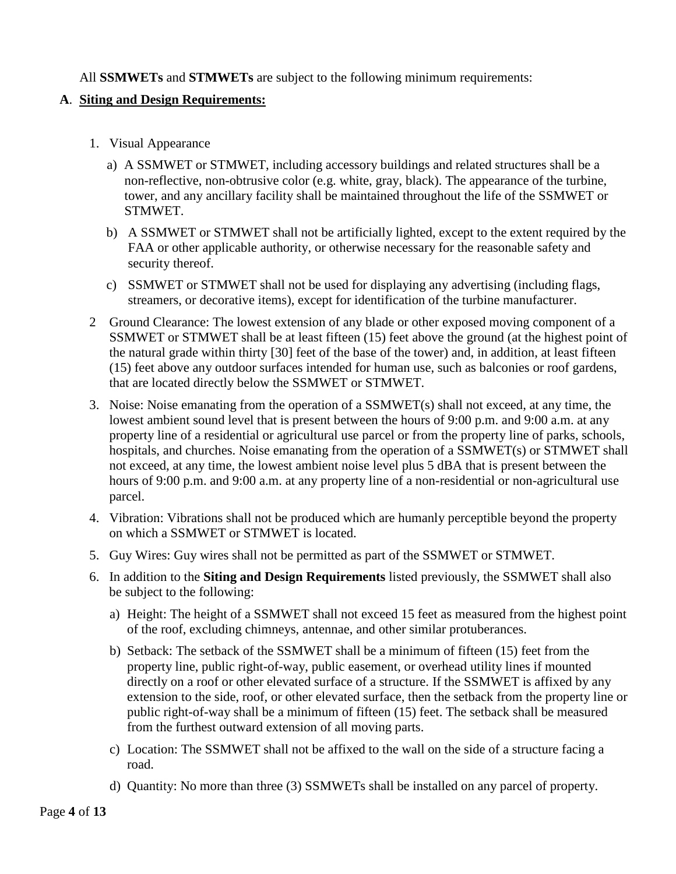All **SSMWETs** and **STMWETs** are subject to the following minimum requirements:

### **A**. **Siting and Design Requirements:**

- 1. Visual Appearance
	- a) A SSMWET or STMWET, including accessory buildings and related structures shall be a non-reflective, non-obtrusive color (e.g. white, gray, black). The appearance of the turbine, tower, and any ancillary facility shall be maintained throughout the life of the SSMWET or STMWET.
	- b) A SSMWET or STMWET shall not be artificially lighted, except to the extent required by the FAA or other applicable authority, or otherwise necessary for the reasonable safety and security thereof.
	- c) SSMWET or STMWET shall not be used for displaying any advertising (including flags, streamers, or decorative items), except for identification of the turbine manufacturer.
- 2 Ground Clearance: The lowest extension of any blade or other exposed moving component of a SSMWET or STMWET shall be at least fifteen (15) feet above the ground (at the highest point of the natural grade within thirty [30] feet of the base of the tower) and, in addition, at least fifteen (15) feet above any outdoor surfaces intended for human use, such as balconies or roof gardens, that are located directly below the SSMWET or STMWET.
- 3. Noise: Noise emanating from the operation of a SSMWET(s) shall not exceed, at any time, the lowest ambient sound level that is present between the hours of 9:00 p.m. and 9:00 a.m. at any property line of a residential or agricultural use parcel or from the property line of parks, schools, hospitals, and churches. Noise emanating from the operation of a SSMWET(s) or STMWET shall not exceed, at any time, the lowest ambient noise level plus 5 dBA that is present between the hours of 9:00 p.m. and 9:00 a.m. at any property line of a non-residential or non-agricultural use parcel.
- 4. Vibration: Vibrations shall not be produced which are humanly perceptible beyond the property on which a SSMWET or STMWET is located.
- 5. Guy Wires: Guy wires shall not be permitted as part of the SSMWET or STMWET.
- 6. In addition to the **Siting and Design Requirements** listed previously, the SSMWET shall also be subject to the following:
	- a) Height: The height of a SSMWET shall not exceed 15 feet as measured from the highest point of the roof, excluding chimneys, antennae, and other similar protuberances.
	- b) Setback: The setback of the SSMWET shall be a minimum of fifteen (15) feet from the property line, public right-of-way, public easement, or overhead utility lines if mounted directly on a roof or other elevated surface of a structure. If the SSMWET is affixed by any extension to the side, roof, or other elevated surface, then the setback from the property line or public right-of-way shall be a minimum of fifteen (15) feet. The setback shall be measured from the furthest outward extension of all moving parts.
	- c) Location: The SSMWET shall not be affixed to the wall on the side of a structure facing a road.
	- d) Quantity: No more than three (3) SSMWETs shall be installed on any parcel of property.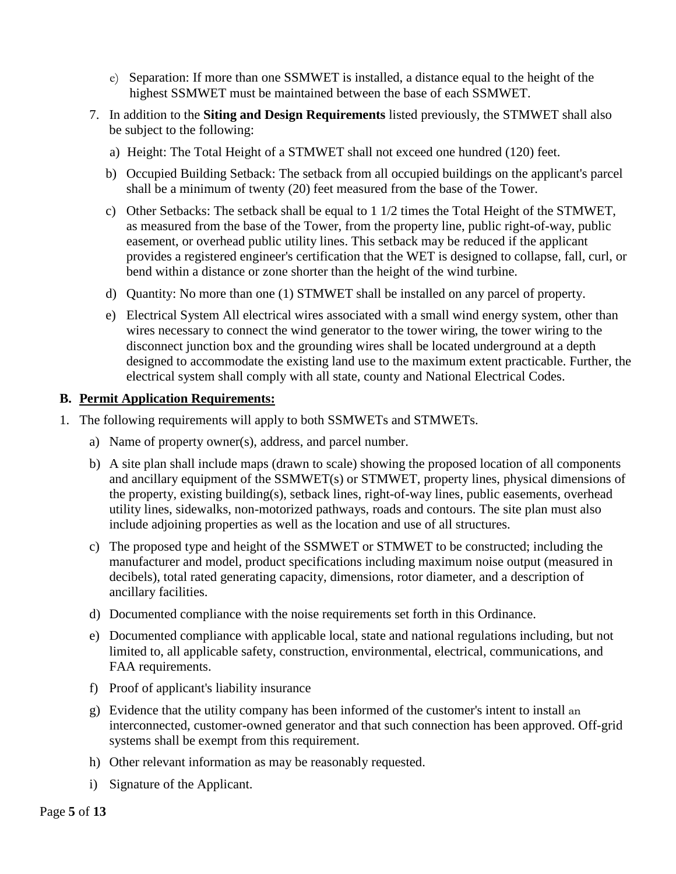- e) Separation: If more than one SSMWET is installed, a distance equal to the height of the highest SSMWET must be maintained between the base of each SSMWET.
- 7. In addition to the **Siting and Design Requirements** listed previously, the STMWET shall also be subject to the following:
	- a) Height: The Total Height of a STMWET shall not exceed one hundred (120) feet.
	- b) Occupied Building Setback: The setback from all occupied buildings on the applicant's parcel shall be a minimum of twenty (20) feet measured from the base of the Tower.
	- c) Other Setbacks: The setback shall be equal to 1 1/2 times the Total Height of the STMWET, as measured from the base of the Tower, from the property line, public right-of-way, public easement, or overhead public utility lines. This setback may be reduced if the applicant provides a registered engineer's certification that the WET is designed to collapse, fall, curl, or bend within a distance or zone shorter than the height of the wind turbine.
	- d) Quantity: No more than one (1) STMWET shall be installed on any parcel of property.
	- e) Electrical System All electrical wires associated with a small wind energy system, other than wires necessary to connect the wind generator to the tower wiring, the tower wiring to the disconnect junction box and the grounding wires shall be located underground at a depth designed to accommodate the existing land use to the maximum extent practicable. Further, the electrical system shall comply with all state, county and National Electrical Codes.

#### **B. Permit Application Requirements:**

- 1. The following requirements will apply to both SSMWETs and STMWETs.
	- a) Name of property owner(s), address, and parcel number.
	- b) A site plan shall include maps (drawn to scale) showing the proposed location of all components and ancillary equipment of the SSMWET(s) or STMWET, property lines, physical dimensions of the property, existing building(s), setback lines, right-of-way lines, public easements, overhead utility lines, sidewalks, non-motorized pathways, roads and contours. The site plan must also include adjoining properties as well as the location and use of all structures.
	- c) The proposed type and height of the SSMWET or STMWET to be constructed; including the manufacturer and model, product specifications including maximum noise output (measured in decibels), total rated generating capacity, dimensions, rotor diameter, and a description of ancillary facilities.
	- d) Documented compliance with the noise requirements set forth in this Ordinance.
	- e) Documented compliance with applicable local, state and national regulations including, but not limited to, all applicable safety, construction, environmental, electrical, communications, and FAA requirements.
	- f) Proof of applicant's liability insurance
	- g) Evidence that the utility company has been informed of the customer's intent to install an interconnected, customer-owned generator and that such connection has been approved. Off-grid systems shall be exempt from this requirement.
	- h) Other relevant information as may be reasonably requested.
	- i) Signature of the Applicant.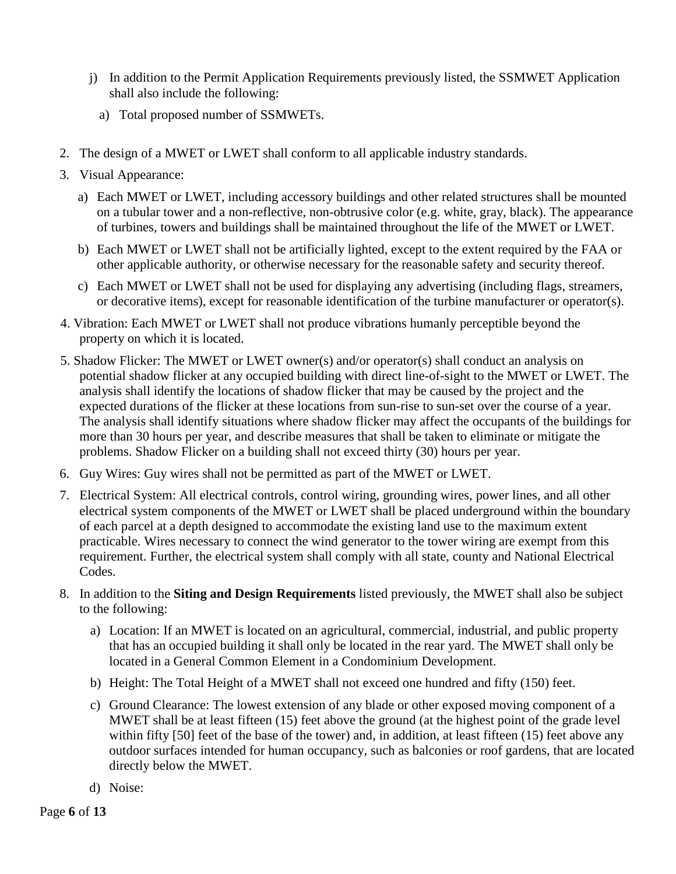- j) In addition to the Permit Application Requirements previously listed, the SSMWET Application shall also include the following:
	- a) Total proposed number of SSMWETs.
- 2. The design of a MWET or LWET shall conform to all applicable industry standards.
- 3. Visual Appearance:
	- a) Each MWET or LWET, including accessory buildings and other related structures shall be mounted on a tubular tower and a non-reflective, non-obtrusive color (e.g. white, gray, black). The appearance of turbines, towers and buildings shall be maintained throughout the life of the MWET or LWET.
	- b) Each MWET or LWET shall not be artificially lighted, except to the extent required by the FAA or other applicable authority, or otherwise necessary for the reasonable safety and security thereof.
	- c) Each MWET or LWET shall not be used for displaying any advertising (including flags, streamers, or decorative items), except for reasonable identification of the turbine manufacturer or operator(s).
- 4. Vibration: Each MWET or LWET shall not produce vibrations humanly perceptible beyond the property on which it is located.
- 5. Shadow Flicker: The MWET or LWET owner(s) and/or operator(s) shall conduct an analysis on potential shadow flicker at any occupied building with direct line-of-sight to the MWET or LWET. The analysis shall identify the locations of shadow flicker that may be caused by the project and the expected durations of the flicker at these locations from sun-rise to sun-set over the course of a year. The analysis shall identify situations where shadow flicker may affect the occupants of the buildings for more than 30 hours per year, and describe measures that shall be taken to eliminate or mitigate the problems. Shadow Flicker on a building shall not exceed thirty (30) hours per year.
- 6. Guy Wires: Guy wires shall not be permitted as part of the MWET or LWET.
- 7. Electrical System: All electrical controls, control wiring, grounding wires, power lines, and all other electrical system components of the MWET or LWET shall be placed underground within the boundary of each parcel at a depth designed to accommodate the existing land use to the maximum extent practicable. Wires necessary to connect the wind generator to the tower wiring are exempt from this requirement. Further, the electrical system shall comply with all state, county and National Electrical Codes.
- 8. In addition to the **Siting and Design Requirements** listed previously, the MWET shall also be subject to the following:
	- a) Location: If an MWET is located on an agricultural, commercial, industrial, and public property that has an occupied building it shall only be located in the rear yard. The MWET shall only be located in a General Common Element in a Condominium Development.
	- b) Height: The Total Height of a MWET shall not exceed one hundred and fifty (150) feet.
	- c) Ground Clearance: The lowest extension of any blade or other exposed moving component of a MWET shall be at least fifteen (15) feet above the ground (at the highest point of the grade level within fifty [50] feet of the base of the tower) and, in addition, at least fifteen (15) feet above any outdoor surfaces intended for human occupancy, such as balconies or roof gardens, that are located directly below the MWET.
	- d) Noise: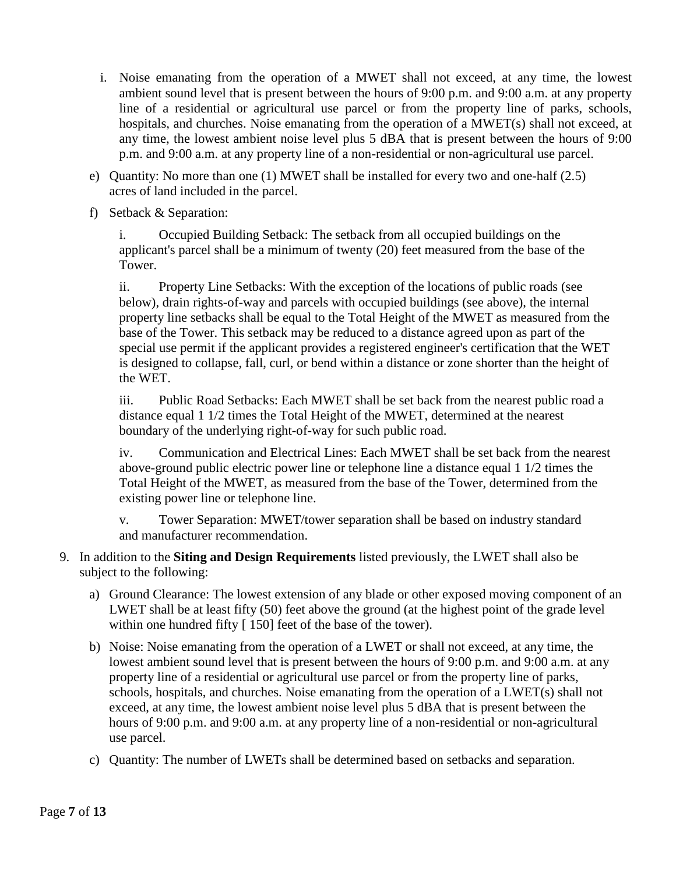- i. Noise emanating from the operation of a MWET shall not exceed, at any time, the lowest ambient sound level that is present between the hours of 9:00 p.m. and 9:00 a.m. at any property line of a residential or agricultural use parcel or from the property line of parks, schools, hospitals, and churches. Noise emanating from the operation of a MWET(s) shall not exceed, at any time, the lowest ambient noise level plus 5 dBA that is present between the hours of 9:00 p.m. and 9:00 a.m. at any property line of a non-residential or non-agricultural use parcel.
- e) Quantity: No more than one (1) MWET shall be installed for every two and one-half (2.5) acres of land included in the parcel.
- f) Setback & Separation:

i. Occupied Building Setback: The setback from all occupied buildings on the applicant's parcel shall be a minimum of twenty (20) feet measured from the base of the Tower.

ii. Property Line Setbacks: With the exception of the locations of public roads (see below), drain rights-of-way and parcels with occupied buildings (see above), the internal property line setbacks shall be equal to the Total Height of the MWET as measured from the base of the Tower. This setback may be reduced to a distance agreed upon as part of the special use permit if the applicant provides a registered engineer's certification that the WET is designed to collapse, fall, curl, or bend within a distance or zone shorter than the height of the WET.

iii. Public Road Setbacks: Each MWET shall be set back from the nearest public road a distance equal 1 1/2 times the Total Height of the MWET, determined at the nearest boundary of the underlying right-of-way for such public road.

iv. Communication and Electrical Lines: Each MWET shall be set back from the nearest above-ground public electric power line or telephone line a distance equal 1 1/2 times the Total Height of the MWET, as measured from the base of the Tower, determined from the existing power line or telephone line.

v. Tower Separation: MWET/tower separation shall be based on industry standard and manufacturer recommendation.

- 9. In addition to the **Siting and Design Requirements** listed previously, the LWET shall also be subject to the following:
	- a) Ground Clearance: The lowest extension of any blade or other exposed moving component of an LWET shall be at least fifty (50) feet above the ground (at the highest point of the grade level within one hundred fifty [ 150] feet of the base of the tower).
	- b) Noise: Noise emanating from the operation of a LWET or shall not exceed, at any time, the lowest ambient sound level that is present between the hours of 9:00 p.m. and 9:00 a.m. at any property line of a residential or agricultural use parcel or from the property line of parks, schools, hospitals, and churches. Noise emanating from the operation of a LWET(s) shall not exceed, at any time, the lowest ambient noise level plus 5 dBA that is present between the hours of 9:00 p.m. and 9:00 a.m. at any property line of a non-residential or non-agricultural use parcel.
	- c) Quantity: The number of LWETs shall be determined based on setbacks and separation.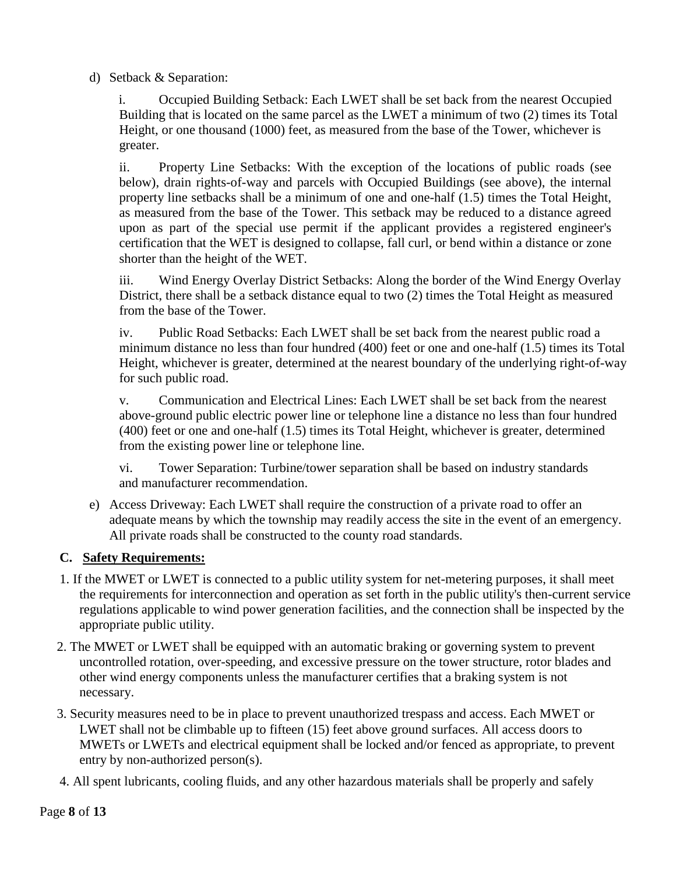d) Setback & Separation:

i. Occupied Building Setback: Each LWET shall be set back from the nearest Occupied Building that is located on the same parcel as the LWET a minimum of two (2) times its Total Height, or one thousand (1000) feet, as measured from the base of the Tower, whichever is greater.

ii. Property Line Setbacks: With the exception of the locations of public roads (see below), drain rights-of-way and parcels with Occupied Buildings (see above), the internal property line setbacks shall be a minimum of one and one-half (1.5) times the Total Height, as measured from the base of the Tower. This setback may be reduced to a distance agreed upon as part of the special use permit if the applicant provides a registered engineer's certification that the WET is designed to collapse, fall curl, or bend within a distance or zone shorter than the height of the WET.

iii. Wind Energy Overlay District Setbacks: Along the border of the Wind Energy Overlay District, there shall be a setback distance equal to two (2) times the Total Height as measured from the base of the Tower.

iv. Public Road Setbacks: Each LWET shall be set back from the nearest public road a minimum distance no less than four hundred (400) feet or one and one-half (1.5) times its Total Height, whichever is greater, determined at the nearest boundary of the underlying right-of-way for such public road.

v. Communication and Electrical Lines: Each LWET shall be set back from the nearest above-ground public electric power line or telephone line a distance no less than four hundred (400) feet or one and one-half (1.5) times its Total Height, whichever is greater, determined from the existing power line or telephone line.

vi. Tower Separation: Turbine/tower separation shall be based on industry standards and manufacturer recommendation.

e) Access Driveway: Each LWET shall require the construction of a private road to offer an adequate means by which the township may readily access the site in the event of an emergency. All private roads shall be constructed to the county road standards.

## **C. Safety Requirements:**

- 1. If the MWET or LWET is connected to a public utility system for net-metering purposes, it shall meet the requirements for interconnection and operation as set forth in the public utility's then-current service regulations applicable to wind power generation facilities, and the connection shall be inspected by the appropriate public utility.
- 2. The MWET or LWET shall be equipped with an automatic braking or governing system to prevent uncontrolled rotation, over-speeding, and excessive pressure on the tower structure, rotor blades and other wind energy components unless the manufacturer certifies that a braking system is not necessary.
- 3. Security measures need to be in place to prevent unauthorized trespass and access. Each MWET or LWET shall not be climbable up to fifteen (15) feet above ground surfaces. All access doors to MWETs or LWETs and electrical equipment shall be locked and/or fenced as appropriate, to prevent entry by non-authorized person(s).
- 4. All spent lubricants, cooling fluids, and any other hazardous materials shall be properly and safely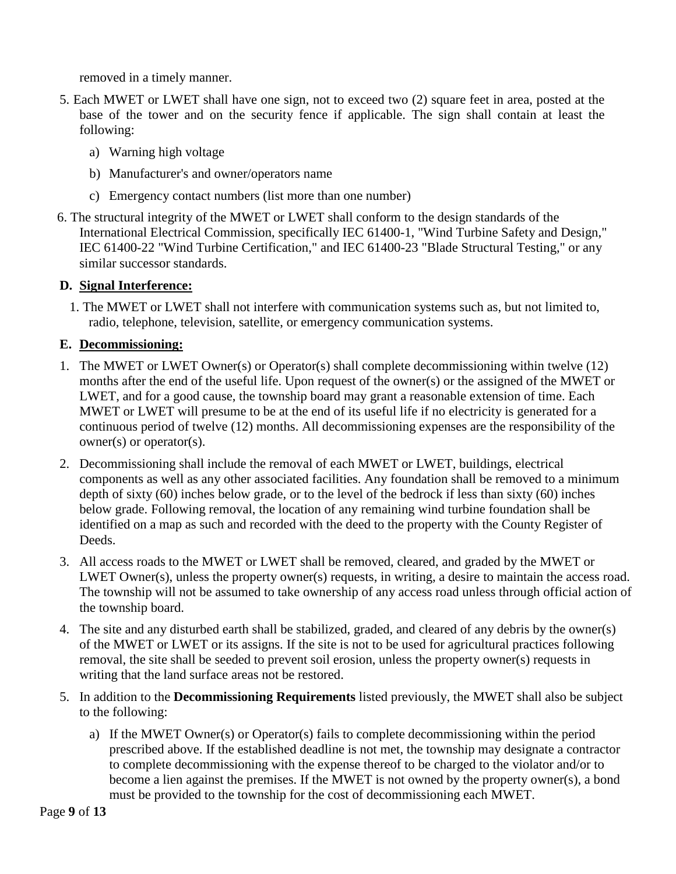removed in a timely manner.

- 5. Each MWET or LWET shall have one sign, not to exceed two (2) square feet in area, posted at the base of the tower and on the security fence if applicable. The sign shall contain at least the following:
	- a) Warning high voltage
	- b) Manufacturer's and owner/operators name
	- c) Emergency contact numbers (list more than one number)
- 6. The structural integrity of the MWET or LWET shall conform to the design standards of the International Electrical Commission, specifically IEC 61400-1, "Wind Turbine Safety and Design," IEC 61400-22 "Wind Turbine Certification," and IEC 61400-23 "Blade Structural Testing," or any similar successor standards.

### **D. Signal Interference:**

1. The MWET or LWET shall not interfere with communication systems such as, but not limited to, radio, telephone, television, satellite, or emergency communication systems.

### **E. Decommissioning:**

- 1. The MWET or LWET Owner(s) or Operator(s) shall complete decommissioning within twelve (12) months after the end of the useful life. Upon request of the owner(s) or the assigned of the MWET or LWET, and for a good cause, the township board may grant a reasonable extension of time. Each MWET or LWET will presume to be at the end of its useful life if no electricity is generated for a continuous period of twelve (12) months. All decommissioning expenses are the responsibility of the owner(s) or operator(s).
- 2. Decommissioning shall include the removal of each MWET or LWET, buildings, electrical components as well as any other associated facilities. Any foundation shall be removed to a minimum depth of sixty (60) inches below grade, or to the level of the bedrock if less than sixty (60) inches below grade. Following removal, the location of any remaining wind turbine foundation shall be identified on a map as such and recorded with the deed to the property with the County Register of Deeds.
- 3. All access roads to the MWET or LWET shall be removed, cleared, and graded by the MWET or LWET Owner(s), unless the property owner(s) requests, in writing, a desire to maintain the access road. The township will not be assumed to take ownership of any access road unless through official action of the township board.
- 4. The site and any disturbed earth shall be stabilized, graded, and cleared of any debris by the owner(s) of the MWET or LWET or its assigns. If the site is not to be used for agricultural practices following removal, the site shall be seeded to prevent soil erosion, unless the property owner(s) requests in writing that the land surface areas not be restored.
- 5. In addition to the **Decommissioning Requirements** listed previously, the MWET shall also be subject to the following:
	- a) If the MWET Owner(s) or Operator(s) fails to complete decommissioning within the period prescribed above. If the established deadline is not met, the township may designate a contractor to complete decommissioning with the expense thereof to be charged to the violator and/or to become a lien against the premises. If the MWET is not owned by the property owner(s), a bond must be provided to the township for the cost of decommissioning each MWET.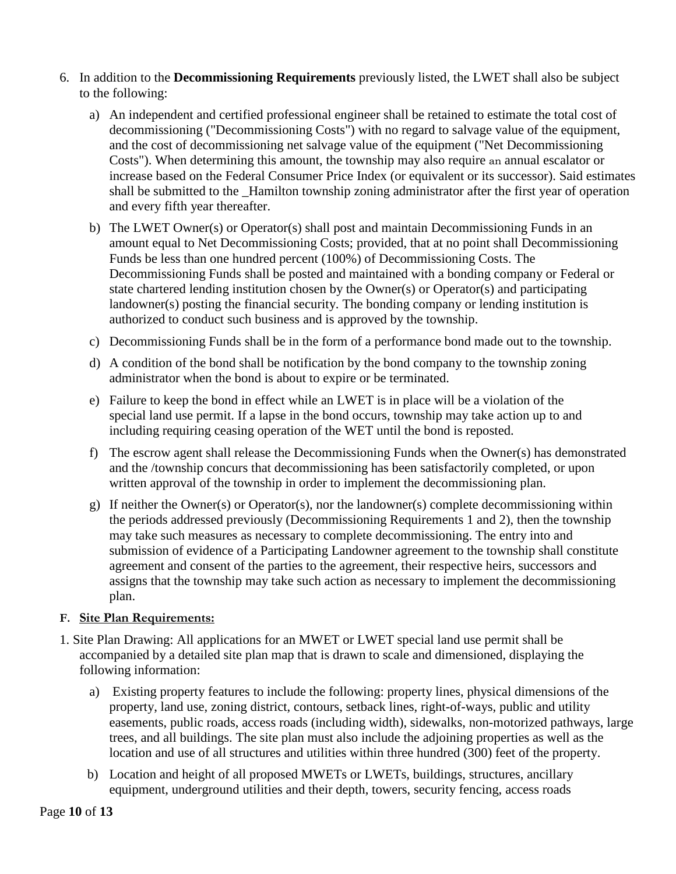- 6. In addition to the **Decommissioning Requirements** previously listed, the LWET shall also be subject to the following:
	- a) An independent and certified professional engineer shall be retained to estimate the total cost of decommissioning ("Decommissioning Costs") with no regard to salvage value of the equipment, and the cost of decommissioning net salvage value of the equipment ("Net Decommissioning Costs"). When determining this amount, the township may also require an annual escalator or increase based on the Federal Consumer Price Index (or equivalent or its successor). Said estimates shall be submitted to the \_Hamilton township zoning administrator after the first year of operation and every fifth year thereafter.
	- b) The LWET Owner(s) or Operator(s) shall post and maintain Decommissioning Funds in an amount equal to Net Decommissioning Costs; provided, that at no point shall Decommissioning Funds be less than one hundred percent (100%) of Decommissioning Costs. The Decommissioning Funds shall be posted and maintained with a bonding company or Federal or state chartered lending institution chosen by the Owner(s) or Operator(s) and participating landowner(s) posting the financial security. The bonding company or lending institution is authorized to conduct such business and is approved by the township.
	- c) Decommissioning Funds shall be in the form of a performance bond made out to the township.
	- d) A condition of the bond shall be notification by the bond company to the township zoning administrator when the bond is about to expire or be terminated.
	- e) Failure to keep the bond in effect while an LWET is in place will be a violation of the special land use permit. If a lapse in the bond occurs, township may take action up to and including requiring ceasing operation of the WET until the bond is reposted.
	- f) The escrow agent shall release the Decommissioning Funds when the Owner(s) has demonstrated and the /township concurs that decommissioning has been satisfactorily completed, or upon written approval of the township in order to implement the decommissioning plan.
	- g) If neither the Owner(s) or Operator(s), nor the landowner(s) complete decommissioning within the periods addressed previously (Decommissioning Requirements 1 and 2), then the township may take such measures as necessary to complete decommissioning. The entry into and submission of evidence of a Participating Landowner agreement to the township shall constitute agreement and consent of the parties to the agreement, their respective heirs, successors and assigns that the township may take such action as necessary to implement the decommissioning plan.

#### **F. Site Plan Requirements:**

- 1. Site Plan Drawing: All applications for an MWET or LWET special land use permit shall be accompanied by a detailed site plan map that is drawn to scale and dimensioned, displaying the following information:
	- a) Existing property features to include the following: property lines, physical dimensions of the property, land use, zoning district, contours, setback lines, right-of-ways, public and utility easements, public roads, access roads (including width), sidewalks, non-motorized pathways, large trees, and all buildings. The site plan must also include the adjoining properties as well as the location and use of all structures and utilities within three hundred (300) feet of the property.
	- b) Location and height of all proposed MWETs or LWETs, buildings, structures, ancillary equipment, underground utilities and their depth, towers, security fencing, access roads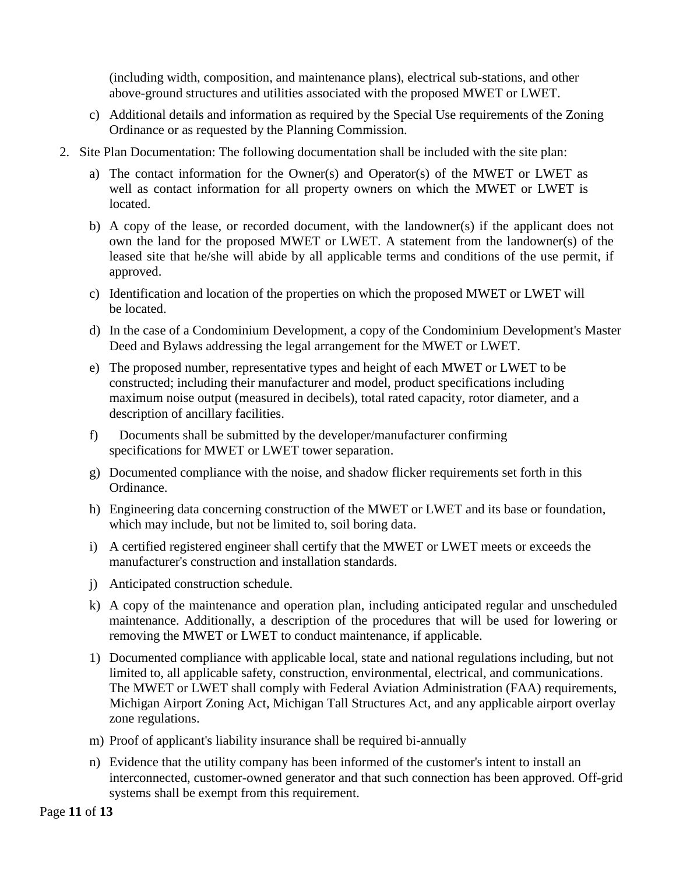(including width, composition, and maintenance plans), electrical sub-stations, and other above-ground structures and utilities associated with the proposed MWET or LWET.

- c) Additional details and information as required by the Special Use requirements of the Zoning Ordinance or as requested by the Planning Commission.
- 2. Site Plan Documentation: The following documentation shall be included with the site plan:
	- a) The contact information for the Owner(s) and Operator(s) of the MWET or LWET as well as contact information for all property owners on which the MWET or LWET is located.
	- b) A copy of the lease, or recorded document, with the landowner(s) if the applicant does not own the land for the proposed MWET or LWET. A statement from the landowner(s) of the leased site that he/she will abide by all applicable terms and conditions of the use permit, if approved.
	- c) Identification and location of the properties on which the proposed MWET or LWET will be located.
	- d) In the case of a Condominium Development, a copy of the Condominium Development's Master Deed and Bylaws addressing the legal arrangement for the MWET or LWET.
	- e) The proposed number, representative types and height of each MWET or LWET to be constructed; including their manufacturer and model, product specifications including maximum noise output (measured in decibels), total rated capacity, rotor diameter, and a description of ancillary facilities.
	- f) Documents shall be submitted by the developer/manufacturer confirming specifications for MWET or LWET tower separation.
	- g) Documented compliance with the noise, and shadow flicker requirements set forth in this Ordinance.
	- h) Engineering data concerning construction of the MWET or LWET and its base or foundation, which may include, but not be limited to, soil boring data.
	- i) A certified registered engineer shall certify that the MWET or LWET meets or exceeds the manufacturer's construction and installation standards.
	- j) Anticipated construction schedule.
	- k) A copy of the maintenance and operation plan, including anticipated regular and unscheduled maintenance. Additionally, a description of the procedures that will be used for lowering or removing the MWET or LWET to conduct maintenance, if applicable.
	- 1) Documented compliance with applicable local, state and national regulations including, but not limited to, all applicable safety, construction, environmental, electrical, and communications. The MWET or LWET shall comply with Federal Aviation Administration (FAA) requirements, Michigan Airport Zoning Act, Michigan Tall Structures Act, and any applicable airport overlay zone regulations.
	- m) Proof of applicant's liability insurance shall be required bi-annually
	- n) Evidence that the utility company has been informed of the customer's intent to install an interconnected, customer-owned generator and that such connection has been approved. Off-grid systems shall be exempt from this requirement.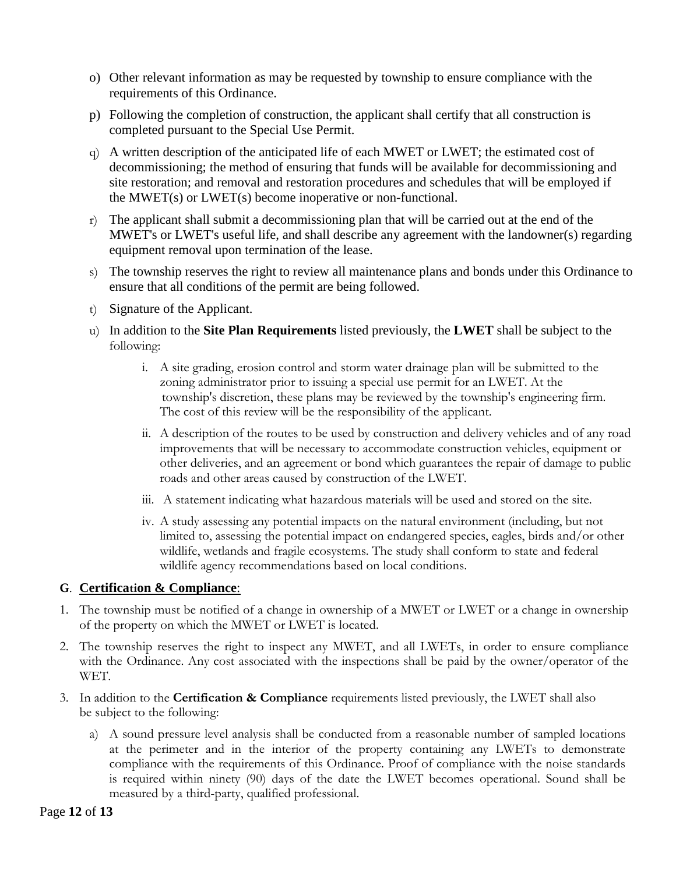- o) Other relevant information as may be requested by township to ensure compliance with the requirements of this Ordinance.
- p) Following the completion of construction, the applicant shall certify that all construction is completed pursuant to the Special Use Permit.
- q) A written description of the anticipated life of each MWET or LWET; the estimated cost of decommissioning; the method of ensuring that funds will be available for decommissioning and site restoration; and removal and restoration procedures and schedules that will be employed if the MWET(s) or LWET(s) become inoperative or non-functional.
- r) The applicant shall submit a decommissioning plan that will be carried out at the end of the MWET's or LWET's useful life, and shall describe any agreement with the landowner(s) regarding equipment removal upon termination of the lease.
- s) The township reserves the right to review all maintenance plans and bonds under this Ordinance to ensure that all conditions of the permit are being followed.
- t) Signature of the Applicant.
- u) In addition to the **Site Plan Requirements** listed previously, the **LWET** shall be subject to the following:
	- i. A site grading, erosion control and storm water drainage plan will be submitted to the zoning administrator prior to issuing a special use permit for an LWET. At the township's discretion, these plans may be reviewed by the township's engineering firm. The cost of this review will be the responsibility of the applicant.
	- ii. A description of the routes to be used by construction and delivery vehicles and of any road improvements that will be necessary to accommodate construction vehicles, equipment or other deliveries, and an agreement or bond which guarantees the repair of damage to public roads and other areas caused by construction of the LWET.
	- iii. A statement indicating what hazardous materials will be used and stored on the site.
	- iv. A study assessing any potential impacts on the natural environment (including, but not limited to, assessing the potential impact on endangered species, eagles, birds and/or other wildlife, wetlands and fragile ecosystems. The study shall conform to state and federal wildlife agency recommendations based on local conditions.

### **G**. **Certification & Compliance**:

- 1. The township must be notified of a change in ownership of a MWET or LWET or a change in ownership of the property on which the MWET or LWET is located.
- 2. The township reserves the right to inspect any MWET, and all LWETs, in order to ensure compliance with the Ordinance. Any cost associated with the inspections shall be paid by the owner/operator of the WET.
- 3. In addition to the **Certification & Compliance** requirements listed previously, the LWET shall also be subject to the following:
	- a) A sound pressure level analysis shall be conducted from a reasonable number of sampled locations at the perimeter and in the interior of the property containing any LWETs to demonstrate compliance with the requirements of this Ordinance. Proof of compliance with the noise standards is required within ninety (90) days of the date the LWET becomes operational. Sound shall be measured by a third-party, qualified professional.